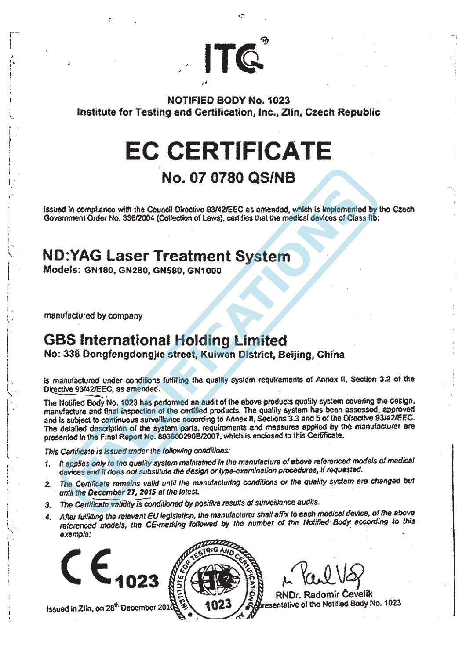**NOTIFIED BODY No. 1023** Institute for Testing and Certification, Inc., Zlin, Czech Republic

ITQ

# **EC CERTIFICATE**

### No. 07 0780 QS/NB

issued in compliance with the Council Directive 93/42/EEC as amended, which is implemented by the Czech Government Order No. 336/2004 (Collection of Laws), certifies that the medical devices of Class lib;

## **ND:YAG Laser Treatment System**

Models: GN180, GN280, GN580, GN1000

manufactured by company

### **GBS International Holding Limited**

No: 338 Dongfengdongjie street, Kuiwen District, Beijing, China

is manufactured under conditions fulfilling the quality system requirements of Annex II, Section 3.2 of the Directive 93/42/EEC, as amended.

The Notified Body No. 1023 has performed an audit of the above products quality system covering the design, manufacture and final inspection of the certified products. The quality system has been assessed, approved and is subject to continuous surveillance according to Annex II, Sections 3.3 and 5 of the Directive 93/42/EEC. The detailed description of the system parts, requirements and measures applied by the manufacturer are presented in the Final Report No. 803600290B/2007, which is enclosed to this Certificate.

This Certificate is issued under the following conditions:

- 1. It applies only to the quality system maintained in the manufacture of above referenced models of medical devices and it does not substitute the design or type-examination procedures, if requested.
- The Certificate remains valid until the manufacturing conditions or the quality system are changed but  $2.$ until the December 27, 2015 at the latest.
- 3. The Certificate validity is conditioned by positive results of surveillance audits.
- 4. After fulfilling the relevant EU legislation, the manufacturer shall affix to each medical device, of the above referenced models, the CE-marking followed by the number of the Notified Body according to this exemple:



Issued in Zlin, on 28<sup>th</sup> December 2010



RNDr. Radomír Cevelik resentative of the Notified Body No. 1023